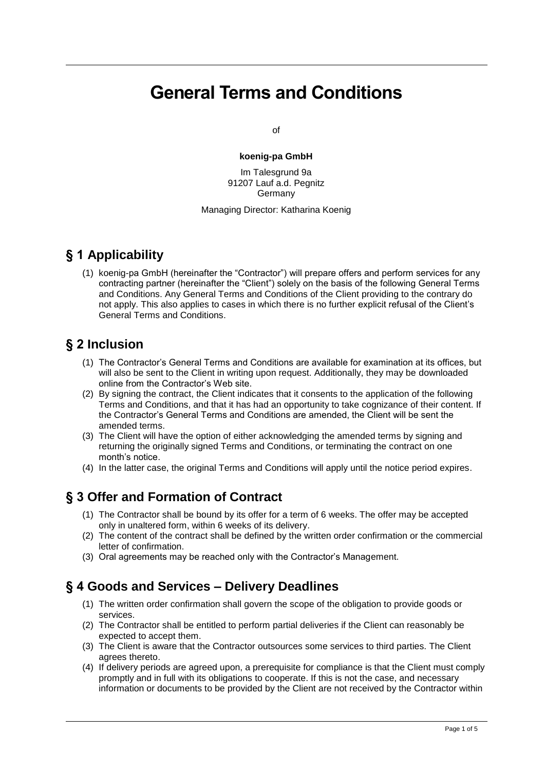# **General Terms and Conditions**

of

#### **koenig-pa GmbH**

Im Talesgrund 9a 91207 Lauf a.d. Pegnitz Germany

#### Managing Director: Katharina Koenig

#### **§ 1 Applicability**

(1) koenig-pa GmbH (hereinafter the "Contractor") will prepare offers and perform services for any contracting partner (hereinafter the "Client") solely on the basis of the following General Terms and Conditions. Any General Terms and Conditions of the Client providing to the contrary do not apply. This also applies to cases in which there is no further explicit refusal of the Client's General Terms and Conditions.

#### **§ 2 Inclusion**

- (1) The Contractor's General Terms and Conditions are available for examination at its offices, but will also be sent to the Client in writing upon request. Additionally, they may be downloaded online from the Contractor's Web site.
- (2) By signing the contract, the Client indicates that it consents to the application of the following Terms and Conditions, and that it has had an opportunity to take cognizance of their content. If the Contractor's General Terms and Conditions are amended, the Client will be sent the amended terms.
- (3) The Client will have the option of either acknowledging the amended terms by signing and returning the originally signed Terms and Conditions, or terminating the contract on one month's notice.
- (4) In the latter case, the original Terms and Conditions will apply until the notice period expires.

## **§ 3 Offer and Formation of Contract**

- (1) The Contractor shall be bound by its offer for a term of 6 weeks. The offer may be accepted only in unaltered form, within 6 weeks of its delivery.
- (2) The content of the contract shall be defined by the written order confirmation or the commercial letter of confirmation.
- (3) Oral agreements may be reached only with the Contractor's Management.

#### **§ 4 Goods and Services – Delivery Deadlines**

- (1) The written order confirmation shall govern the scope of the obligation to provide goods or services.
- (2) The Contractor shall be entitled to perform partial deliveries if the Client can reasonably be expected to accept them.
- (3) The Client is aware that the Contractor outsources some services to third parties. The Client agrees thereto.
- (4) If delivery periods are agreed upon, a prerequisite for compliance is that the Client must comply promptly and in full with its obligations to cooperate. If this is not the case, and necessary information or documents to be provided by the Client are not received by the Contractor within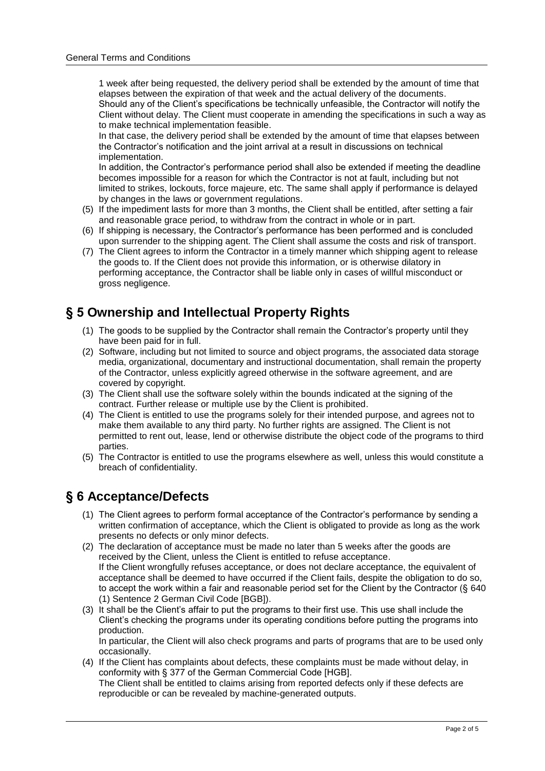1 week after being requested, the delivery period shall be extended by the amount of time that elapses between the expiration of that week and the actual delivery of the documents. Should any of the Client's specifications be technically unfeasible, the Contractor will notify the Client without delay. The Client must cooperate in amending the specifications in such a way as to make technical implementation feasible.

In that case, the delivery period shall be extended by the amount of time that elapses between the Contractor's notification and the joint arrival at a result in discussions on technical implementation.

In addition, the Contractor's performance period shall also be extended if meeting the deadline becomes impossible for a reason for which the Contractor is not at fault, including but not limited to strikes, lockouts, force majeure, etc. The same shall apply if performance is delayed by changes in the laws or government regulations.

- (5) If the impediment lasts for more than 3 months, the Client shall be entitled, after setting a fair and reasonable grace period, to withdraw from the contract in whole or in part.
- (6) If shipping is necessary, the Contractor's performance has been performed and is concluded upon surrender to the shipping agent. The Client shall assume the costs and risk of transport.
- (7) The Client agrees to inform the Contractor in a timely manner which shipping agent to release the goods to. If the Client does not provide this information, or is otherwise dilatory in performing acceptance, the Contractor shall be liable only in cases of willful misconduct or gross negligence.

#### **§ 5 Ownership and Intellectual Property Rights**

- (1) The goods to be supplied by the Contractor shall remain the Contractor's property until they have been paid for in full.
- (2) Software, including but not limited to source and object programs, the associated data storage media, organizational, documentary and instructional documentation, shall remain the property of the Contractor, unless explicitly agreed otherwise in the software agreement, and are covered by copyright.
- (3) The Client shall use the software solely within the bounds indicated at the signing of the contract. Further release or multiple use by the Client is prohibited.
- (4) The Client is entitled to use the programs solely for their intended purpose, and agrees not to make them available to any third party. No further rights are assigned. The Client is not permitted to rent out, lease, lend or otherwise distribute the object code of the programs to third parties.
- (5) The Contractor is entitled to use the programs elsewhere as well, unless this would constitute a breach of confidentiality.

#### **§ 6 Acceptance/Defects**

- (1) The Client agrees to perform formal acceptance of the Contractor's performance by sending a written confirmation of acceptance, which the Client is obligated to provide as long as the work presents no defects or only minor defects.
- (2) The declaration of acceptance must be made no later than 5 weeks after the goods are received by the Client, unless the Client is entitled to refuse acceptance. If the Client wrongfully refuses acceptance, or does not declare acceptance, the equivalent of acceptance shall be deemed to have occurred if the Client fails, despite the obligation to do so, to accept the work within a fair and reasonable period set for the Client by the Contractor (§ 640) (1) Sentence 2 German Civil Code [BGB]).
- (3) It shall be the Client's affair to put the programs to their first use. This use shall include the Client's checking the programs under its operating conditions before putting the programs into production.

In particular, the Client will also check programs and parts of programs that are to be used only occasionally.

(4) If the Client has complaints about defects, these complaints must be made without delay, in conformity with § 377 of the German Commercial Code [HGB].

The Client shall be entitled to claims arising from reported defects only if these defects are reproducible or can be revealed by machine-generated outputs.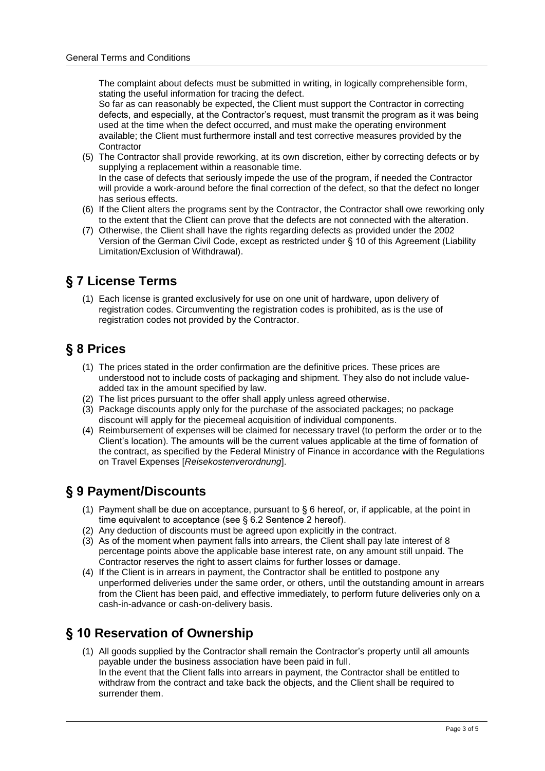The complaint about defects must be submitted in writing, in logically comprehensible form, stating the useful information for tracing the defect.

So far as can reasonably be expected, the Client must support the Contractor in correcting defects, and especially, at the Contractor's request, must transmit the program as it was being used at the time when the defect occurred, and must make the operating environment available; the Client must furthermore install and test corrective measures provided by the **Contractor** 

- (5) The Contractor shall provide reworking, at its own discretion, either by correcting defects or by supplying a replacement within a reasonable time. In the case of defects that seriously impede the use of the program, if needed the Contractor will provide a work-around before the final correction of the defect, so that the defect no longer has serious effects.
- (6) If the Client alters the programs sent by the Contractor, the Contractor shall owe reworking only to the extent that the Client can prove that the defects are not connected with the alteration.
- (7) Otherwise, the Client shall have the rights regarding defects as provided under the 2002 Version of the German Civil Code, except as restricted under § 10 of this Agreement (Liability Limitation/Exclusion of Withdrawal).

#### **§ 7 License Terms**

(1) Each license is granted exclusively for use on one unit of hardware, upon delivery of registration codes. Circumventing the registration codes is prohibited, as is the use of registration codes not provided by the Contractor.

#### **§ 8 Prices**

- (1) The prices stated in the order confirmation are the definitive prices. These prices are understood not to include costs of packaging and shipment. They also do not include valueadded tax in the amount specified by law.
- (2) The list prices pursuant to the offer shall apply unless agreed otherwise.
- (3) Package discounts apply only for the purchase of the associated packages; no package discount will apply for the piecemeal acquisition of individual components.
- (4) Reimbursement of expenses will be claimed for necessary travel (to perform the order or to the Client's location). The amounts will be the current values applicable at the time of formation of the contract, as specified by the Federal Ministry of Finance in accordance with the Regulations on Travel Expenses [*Reisekostenverordnung*].

## **§ 9 Payment/Discounts**

- (1) Payment shall be due on acceptance, pursuant to  $\S 6$  hereof, or, if applicable, at the point in time equivalent to acceptance (see § 6.2 Sentence 2 hereof).
- (2) Any deduction of discounts must be agreed upon explicitly in the contract.
- (3) As of the moment when payment falls into arrears, the Client shall pay late interest of 8 percentage points above the applicable base interest rate, on any amount still unpaid. The Contractor reserves the right to assert claims for further losses or damage.
- (4) If the Client is in arrears in payment, the Contractor shall be entitled to postpone any unperformed deliveries under the same order, or others, until the outstanding amount in arrears from the Client has been paid, and effective immediately, to perform future deliveries only on a cash-in-advance or cash-on-delivery basis.

## **§ 10 Reservation of Ownership**

(1) All goods supplied by the Contractor shall remain the Contractor's property until all amounts payable under the business association have been paid in full. In the event that the Client falls into arrears in payment, the Contractor shall be entitled to withdraw from the contract and take back the objects, and the Client shall be required to surrender them.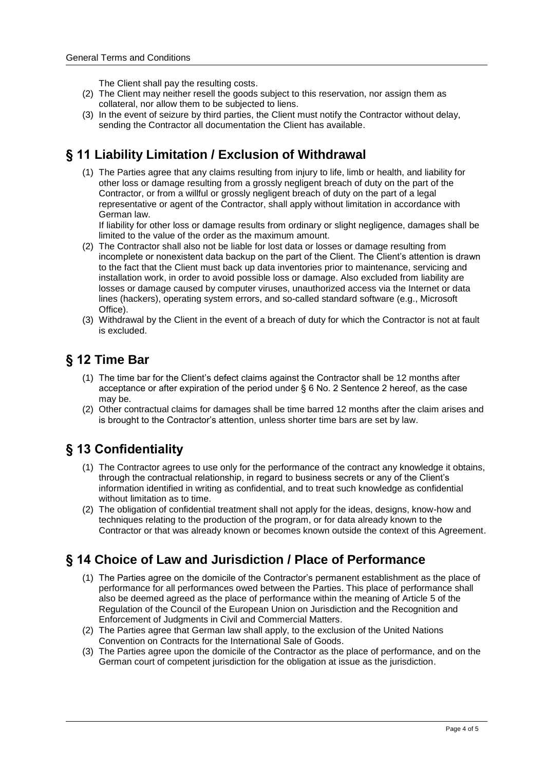The Client shall pay the resulting costs.

- (2) The Client may neither resell the goods subject to this reservation, nor assign them as collateral, nor allow them to be subjected to liens.
- (3) In the event of seizure by third parties, the Client must notify the Contractor without delay, sending the Contractor all documentation the Client has available.

# **§ 11 Liability Limitation / Exclusion of Withdrawal**

(1) The Parties agree that any claims resulting from injury to life, limb or health, and liability for other loss or damage resulting from a grossly negligent breach of duty on the part of the Contractor, or from a willful or grossly negligent breach of duty on the part of a legal representative or agent of the Contractor, shall apply without limitation in accordance with German law.

If liability for other loss or damage results from ordinary or slight negligence, damages shall be limited to the value of the order as the maximum amount.

- (2) The Contractor shall also not be liable for lost data or losses or damage resulting from incomplete or nonexistent data backup on the part of the Client. The Client's attention is drawn to the fact that the Client must back up data inventories prior to maintenance, servicing and installation work, in order to avoid possible loss or damage. Also excluded from liability are losses or damage caused by computer viruses, unauthorized access via the Internet or data lines (hackers), operating system errors, and so-called standard software (e.g., Microsoft Office).
- (3) Withdrawal by the Client in the event of a breach of duty for which the Contractor is not at fault is excluded.

# **§ 12 Time Bar**

- (1) The time bar for the Client's defect claims against the Contractor shall be 12 months after acceptance or after expiration of the period under § 6 No. 2 Sentence 2 hereof, as the case may be.
- (2) Other contractual claims for damages shall be time barred 12 months after the claim arises and is brought to the Contractor's attention, unless shorter time bars are set by law.

# **§ 13 Confidentiality**

- (1) The Contractor agrees to use only for the performance of the contract any knowledge it obtains, through the contractual relationship, in regard to business secrets or any of the Client's information identified in writing as confidential, and to treat such knowledge as confidential without limitation as to time.
- (2) The obligation of confidential treatment shall not apply for the ideas, designs, know-how and techniques relating to the production of the program, or for data already known to the Contractor or that was already known or becomes known outside the context of this Agreement.

## **§ 14 Choice of Law and Jurisdiction / Place of Performance**

- (1) The Parties agree on the domicile of the Contractor's permanent establishment as the place of performance for all performances owed between the Parties. This place of performance shall also be deemed agreed as the place of performance within the meaning of Article 5 of the Regulation of the Council of the European Union on Jurisdiction and the Recognition and Enforcement of Judgments in Civil and Commercial Matters.
- (2) The Parties agree that German law shall apply, to the exclusion of the United Nations Convention on Contracts for the International Sale of Goods.
- (3) The Parties agree upon the domicile of the Contractor as the place of performance, and on the German court of competent jurisdiction for the obligation at issue as the jurisdiction.